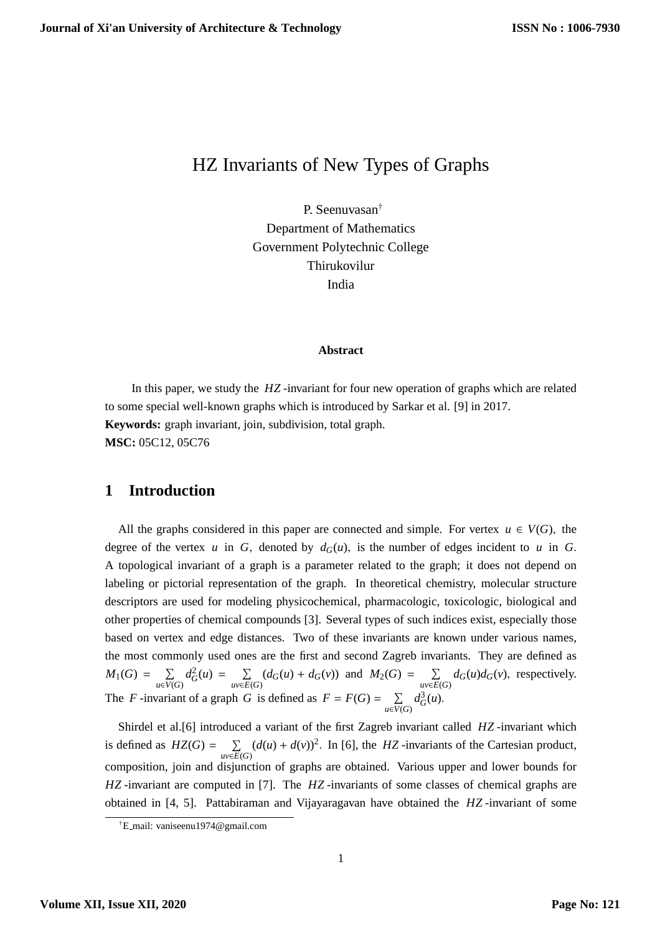# HZ Invariants of New Types of Graphs

P. Seenuvasan† Department of Mathematics Government Polytechnic College Thirukovilur India

#### **Abstract**

In this paper, we study the *HZ* -invariant for four new operation of graphs which are related to some special well-known graphs which is introduced by Sarkar et al. [9] in 2017. **Keywords:** graph invariant, join, subdivision, total graph. **MSC:** 05C12, 05C76

#### **1 Introduction**

All the graphs considered in this paper are connected and simple. For vertex  $u \in V(G)$ , the degree of the vertex *u* in *G*, denoted by  $d_G(u)$ , is the number of edges incident to *u* in *G*. A topological invariant of a graph is a parameter related to the graph; it does not depend on labeling or pictorial representation of the graph. In theoretical chemistry, molecular structure descriptors are used for modeling physicochemical, pharmacologic, toxicologic, biological and other properties of chemical compounds [3]. Several types of such indices exist, especially those based on vertex and edge distances. Two of these invariants are known under various names, the most commonly used ones are the first and second Zagreb invariants. They are defined as  $M_1(G) = \sum_{u \in V(G)}$  $d_G^2(u) = \sum_{uv \in E(G)} (d_G(u) + d_G(v))$  and  $M_2(G) = \sum_{uv \in E(G)} d_G(u) d_G(v)$ , respectively. The *F*-invariant of a graph *G* is defined as  $F = F(G) = \sum_{u \in V(G)}$  $d_G^3(u)$ .

Shirdel et al.[6] introduced a variant of the first Zagreb invariant called *HZ* -invariant which is defined as  $HZ(G) = \sum_{uv \in E(G)}$  $(d(u) + d(v))^2$ . In [6], the *HZ* -invariants of the Cartesian product, composition, join and disjunction of graphs are obtained. Various upper and lower bounds for *HZ* -invariant are computed in [7]. The *HZ* -invariants of some classes of chemical graphs are obtained in [4, 5]. Pattabiraman and Vijayaragavan have obtained the *HZ* -invariant of some

<sup>†</sup>E mail: vaniseenu1974@gmail.com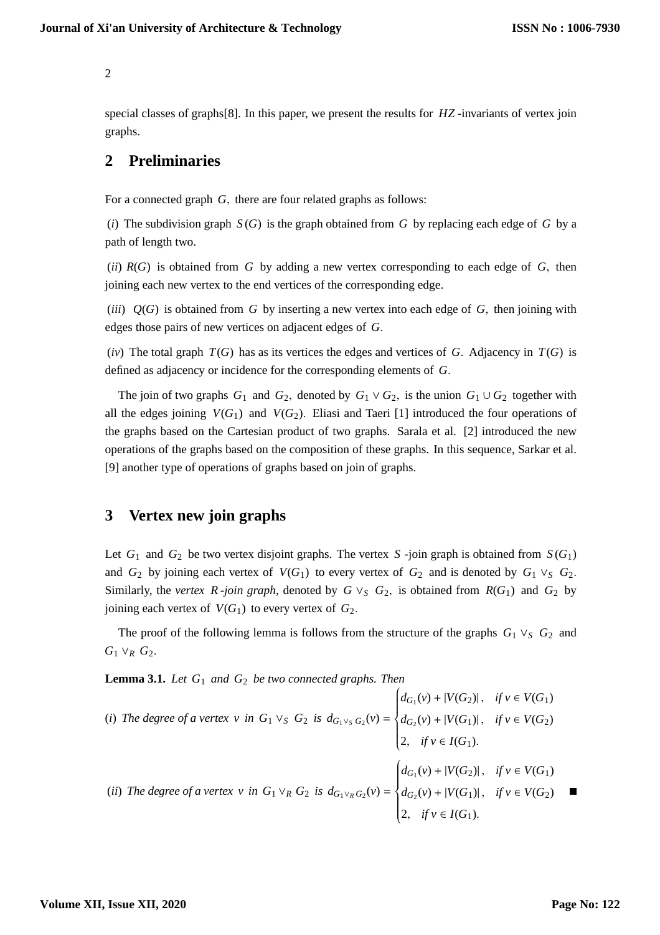special classes of graphs[8]. In this paper, we present the results for *HZ* -invariants of vertex join graphs.

### **2 Preliminaries**

For a connected graph *G*, there are four related graphs as follows:

(*i*) The subdivision graph *S* (*G*) is the graph obtained from *G* by replacing each edge of *G* by a path of length two.

(*ii*) *R*(*G*) is obtained from *G* by adding a new vertex corresponding to each edge of *G*, then joining each new vertex to the end vertices of the corresponding edge.

(*iii*) *Q*(*G*) is obtained from *G* by inserting a new vertex into each edge of *G*, then joining with edges those pairs of new vertices on adjacent edges of *G*.

 $(iv)$  The total graph  $T(G)$  has as its vertices the edges and vertices of *G*. Adjacency in  $T(G)$  is defined as adjacency or incidence for the corresponding elements of *G*.

The join of two graphs  $G_1$  and  $G_2$ , denoted by  $G_1 \vee G_2$ , is the union  $G_1 \cup G_2$  together with all the edges joining  $V(G_1)$  and  $V(G_2)$ . Eliasi and Taeri [1] introduced the four operations of the graphs based on the Cartesian product of two graphs. Sarala et al. [2] introduced the new operations of the graphs based on the composition of these graphs. In this sequence, Sarkar et al. [9] another type of operations of graphs based on join of graphs.

## **3 Vertex new join graphs**

Let  $G_1$  and  $G_2$  be two vertex disjoint graphs. The vertex  $S$  -join graph is obtained from  $S(G_1)$ and  $G_2$  by joining each vertex of  $V(G_1)$  to every vertex of  $G_2$  and is denoted by  $G_1 \vee_S G_2$ . Similarly, the *vertex R -join graph*, denoted by  $G \vee_S G_2$ , is obtained from  $R(G_1)$  and  $G_2$  by joining each vertex of  $V(G_1)$  to every vertex of  $G_2$ .

The proof of the following lemma is follows from the structure of the graphs *G*<sup>1</sup> ∨*<sup>S</sup> G*<sup>2</sup> and  $G_1$  ∨*R*  $G_2$ .

**Lemma 3.1.** *Let G*<sup>1</sup> *and G*<sup>2</sup> *be two connected graphs. Then*

(i) The degree of a vertex v in 
$$
G_1 \vee_S G_2
$$
 is  $d_{G_1 \vee_S G_2}(v) = \begin{cases} d_{G_1}(v) + |V(G_2)|, & \text{if } v \in V(G_1) \\ d_{G_2}(v) + |V(G_1)|, & \text{if } v \in V(G_2) \\ 2, & \text{if } v \in I(G_1). \end{cases}$   
\n(ii) The degree of a vertex v in  $G_1 \vee_R G_2$  is  $d_{G_1 \vee_R G_2}(v) = \begin{cases} d_{G_1}(v) + |V(G_2)|, & \text{if } v \in V(G_1) \\ d_{G_2}(v) + |V(G_1)|, & \text{if } v \in V(G_2) \\ 2, & \text{if } v \in I(G_1). \end{cases}$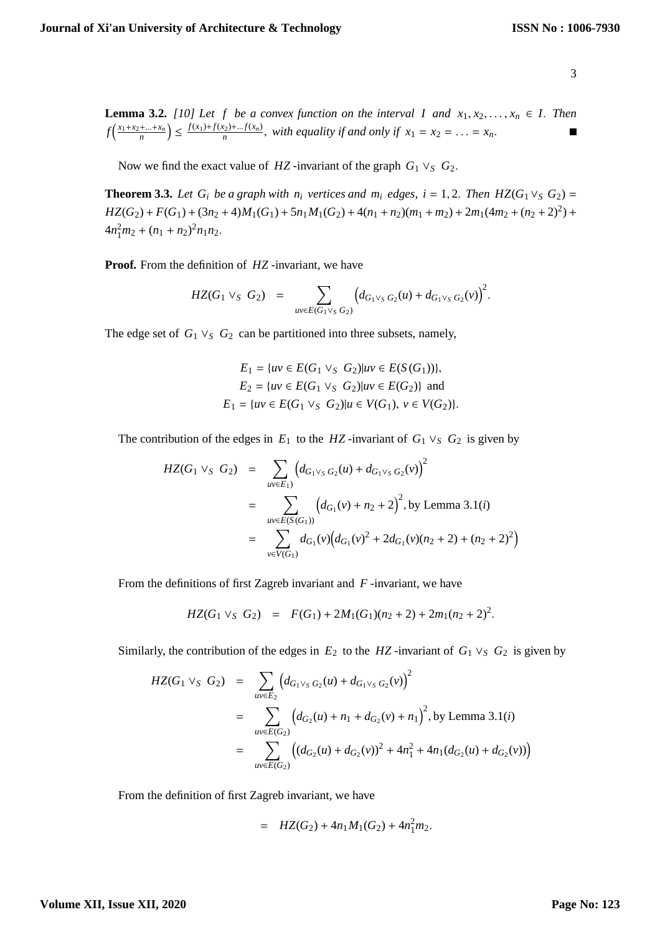**Lemma 3.2.** *[10] Let f be a convex function on the interval I and*  $x_1, x_2, \ldots, x_n \in I$ . *Then*  $f\left(\frac{x_1+x_2+...+x_n}{n}\right) \leq \frac{f(x_1)+f(x_2)+...f(x_n)}{n}$ , with equality if and only if  $x_1 = x_2 = ... = x_n$ .

Now we find the exact value of *HZ* -invariant of the graph  $G_1 \vee_S G_2$ .

**Theorem 3.3.** *Let*  $G_i$  *be a graph with n<sub>i</sub> vertices and m<sub>i</sub> edges, i* = 1, 2. *Then*  $HZ(G_1 \vee_S G_2)$  =  $HZ(G_2) + F(G_1) + (3n_2 + 4)M_1(G_1) + 5n_1M_1(G_2) + 4(n_1 + n_2)(m_1 + m_2) + 2m_1(4m_2 + (n_2 + 2)^2) +$  $4n_1^2m_2 + (n_1 + n_2)^2n_1n_2.$ 

**Proof.** From the definition of *HZ* -invariant, we have

$$
HZ(G_1 \vee_S G_2) = \sum_{uv \in E(G_1 \vee_S G_2)} \Big( d_{G_1 \vee_S G_2}(u) + d_{G_1 \vee_S G_2}(v) \Big)^2.
$$

The edge set of  $G_1 \vee_S G_2$  can be partitioned into three subsets, namely,

$$
E_1 = \{ uv \in E(G_1 \vee_S G_2) | uv \in E(S(G_1)) \},
$$
  
\n
$$
E_2 = \{ uv \in E(G_1 \vee_S G_2) | uv \in E(G_2) \} \text{ and}
$$
  
\n
$$
E_1 = \{ uv \in E(G_1 \vee_S G_2) | u \in V(G_1), v \in V(G_2) \}.
$$

The contribution of the edges in  $E_1$  to the *HZ* -invariant of  $G_1 \vee_S G_2$  is given by

$$
HZ(G_1 \vee_S G_2) = \sum_{uv \in E_1} (d_{G_1 \vee_S G_2}(u) + d_{G_1 \vee_S G_2}(v))^2
$$
  
= 
$$
\sum_{uv \in E(S(G_1))} (d_{G_1}(v) + n_2 + 2)^2
$$
, by Lemma 3.1(*i*)  
= 
$$
\sum_{v \in V(G_1)} d_{G_1}(v) (d_{G_1}(v)^2 + 2d_{G_1}(v)(n_2 + 2) + (n_2 + 2)^2)
$$

From the definitions of first Zagreb invariant and *F* -invariant, we have

$$
HZ(G_1\vee_S G_2) = F(G_1) + 2M_1(G_1)(n_2 + 2) + 2m_1(n_2 + 2)^2.
$$

Similarly, the contribution of the edges in  $E_2$  to the *HZ* -invariant of  $G_1 \vee_S G_2$  is given by

$$
HZ(G_1 \vee_S G_2) = \sum_{uv \in E_2} \left( d_{G_1 \vee_S G_2}(u) + d_{G_1 \vee_S G_2}(v) \right)^2
$$
  
= 
$$
\sum_{uv \in E(G_2)} \left( d_{G_2}(u) + n_1 + d_{G_2}(v) + n_1 \right)^2
$$
, by Lemma 3.1(*i*)  
= 
$$
\sum_{uv \in E(G_2)} \left( (d_{G_2}(u) + d_{G_2}(v))^2 + 4n_1^2 + 4n_1(d_{G_2}(u) + d_{G_2}(v)) \right)
$$

From the definition of first Zagreb invariant, we have

$$
= HZ(G_2) + 4n_1M_1(G_2) + 4n_1^2m_2.
$$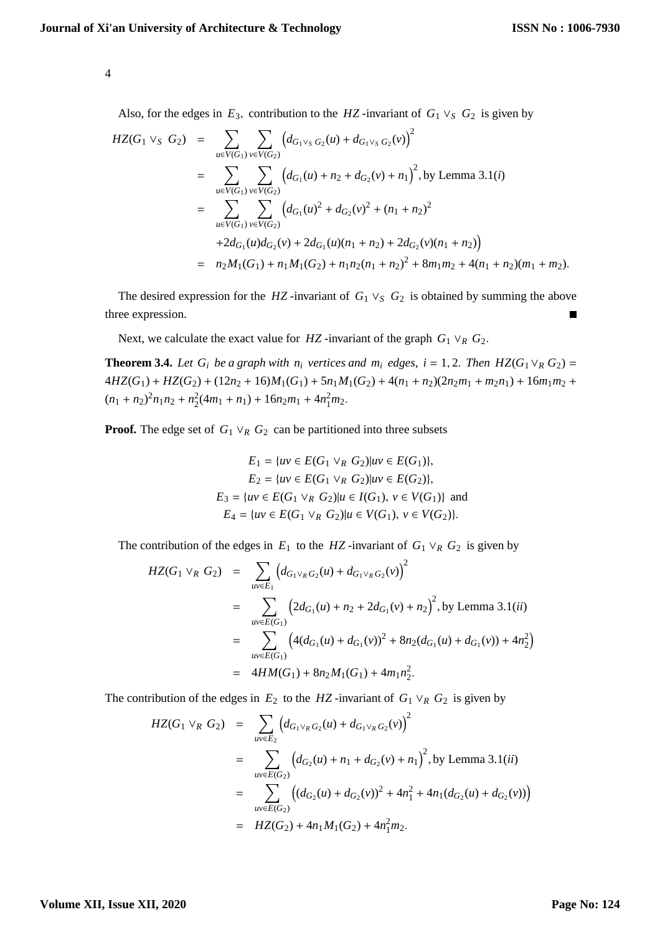Also, for the edges in  $E_3$ , contribution to the *HZ*-invariant of  $G_1 \vee_S G_2$  is given by

$$
HZ(G_1 \vee_S G_2) = \sum_{u \in V(G_1)} \sum_{v \in V(G_2)} (d_{G_1 \vee_S G_2}(u) + d_{G_1 \vee_S G_2}(v))^2
$$
  
\n
$$
= \sum_{u \in V(G_1)} \sum_{v \in V(G_2)} (d_{G_1}(u) + n_2 + d_{G_2}(v) + n_1)^2, \text{ by Lemma 3.1}(i)
$$
  
\n
$$
= \sum_{u \in V(G_1)} \sum_{v \in V(G_2)} (d_{G_1}(u)^2 + d_{G_2}(v)^2 + (n_1 + n_2)^2 + 2d_{G_1}(u)d_{G_2}(v) + 2d_{G_1}(u)(n_1 + n_2) + 2d_{G_2}(v)(n_1 + n_2))
$$
  
\n
$$
= n_2M_1(G_1) + n_1M_1(G_2) + n_1n_2(n_1 + n_2)^2 + 8m_1m_2 + 4(n_1 + n_2)(m_1 + m_2).
$$

The desired expression for the *HZ* -invariant of  $G_1 \vee_S G_2$  is obtained by summing the above three expression.

Next, we calculate the exact value for *HZ* -invariant of the graph  $G_1 \vee_R G_2$ .

**Theorem 3.4.** *Let*  $G_i$  *be a graph with*  $n_i$  *vertices and*  $m_i$  *edges,*  $i = 1, 2$ *. Then*  $HZ(G_1 \vee_R G_2) =$  $4HZ(G_1) + HZ(G_2) + (12n_2 + 16)M_1(G_1) + 5n_1M_1(G_2) + 4(n_1 + n_2)(2n_2m_1 + m_2n_1) + 16m_1m_2 +$  $(n_1 + n_2)^2 n_1 n_2 + n_2^2 (4m_1 + n_1) + 16n_2 m_1 + 4n_1^2 m_2.$ 

**Proof.** The edge set of  $G_1 \vee_R G_2$  can be partitioned into three subsets

$$
E_1 = \{ uv \in E(G_1 \vee_R G_2) | uv \in E(G_1) \},
$$
  
\n
$$
E_2 = \{ uv \in E(G_1 \vee_R G_2) | uv \in E(G_2) \},
$$
  
\n
$$
E_3 = \{ uv \in E(G_1 \vee_R G_2) | u \in I(G_1), v \in V(G_1) \} \text{ and }
$$
  
\n
$$
E_4 = \{ uv \in E(G_1 \vee_R G_2) | u \in V(G_1), v \in V(G_2) \}.
$$

The contribution of the edges in  $E_1$  to the *HZ* -invariant of  $G_1 \vee_R G_2$  is given by

$$
HZ(G_1 \vee_R G_2) = \sum_{uv \in E_1} (d_{G_1 \vee_R G_2}(u) + d_{G_1 \vee_R G_2}(v))^2
$$
  
= 
$$
\sum_{uv \in E(G_1)} (2d_{G_1}(u) + n_2 + 2d_{G_1}(v) + n_2)^2
$$
, by Lemma 3.1(*ii*)  
= 
$$
\sum_{uv \in E(G_1)} (4(d_{G_1}(u) + d_{G_1}(v))^2 + 8n_2(d_{G_1}(u) + d_{G_1}(v)) + 4n_2^2)
$$
  
= 
$$
4HM(G_1) + 8n_2M_1(G_1) + 4m_1n_2^2.
$$

The contribution of the edges in  $E_2$  to the *HZ* -invariant of  $G_1 \vee_R G_2$  is given by

$$
HZ(G_1 \vee_R G_2) = \sum_{uv \in E_2} \left( d_{G_1 \vee_R G_2}(u) + d_{G_1 \vee_R G_2}(v) \right)^2
$$
  
= 
$$
\sum_{uv \in E(G_2)} \left( d_{G_2}(u) + n_1 + d_{G_2}(v) + n_1 \right)^2
$$
, by Lemma 3.1(*ii*)  
= 
$$
\sum_{uv \in E(G_2)} \left( (d_{G_2}(u) + d_{G_2}(v))^2 + 4n_1^2 + 4n_1(d_{G_2}(u) + d_{G_2}(v)) \right)
$$
  
= 
$$
HZ(G_2) + 4n_1M_1(G_2) + 4n_1^2m_2.
$$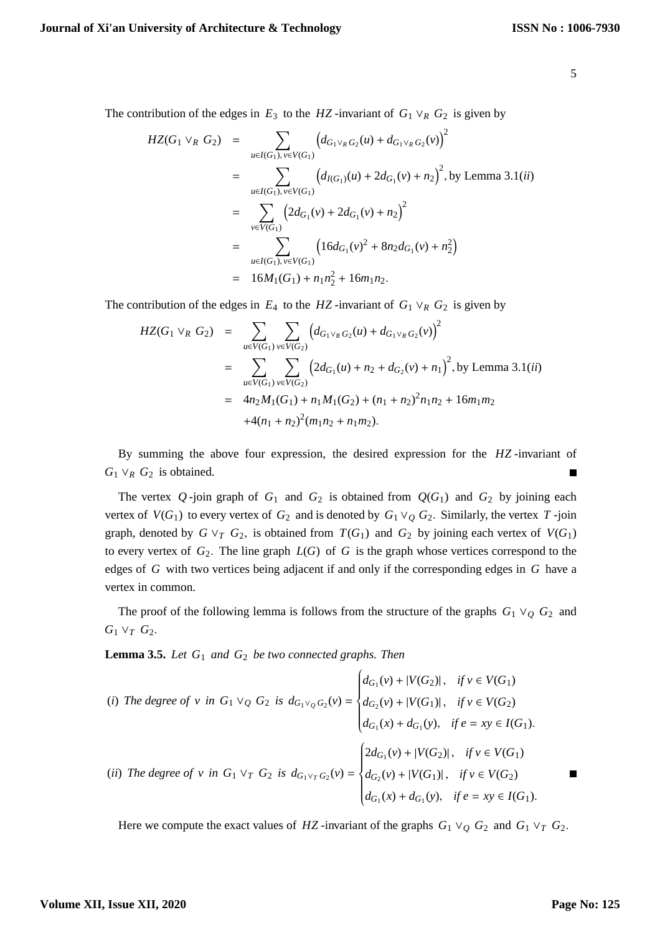The contribution of the edges in  $E_3$  to the *HZ* -invariant of  $G_1 \vee_R G_2$  is given by

$$
HZ(G_1 \vee_R G_2) = \sum_{u \in I(G_1), v \in V(G_1)} (d_{G_1 \vee_R G_2}(u) + d_{G_1 \vee_R G_2}(v))^2
$$
  
\n
$$
= \sum_{u \in I(G_1), v \in V(G_1)} (d_{I(G_1)}(u) + 2d_{G_1}(v) + n_2)^2, \text{ by Lemma 3.1(ii)}
$$
  
\n
$$
= \sum_{v \in V(G_1)} (2d_{G_1}(v) + 2d_{G_1}(v) + n_2)^2
$$
  
\n
$$
= \sum_{u \in I(G_1), v \in V(G_1)} (16d_{G_1}(v)^2 + 8n_2d_{G_1}(v) + n_2^2)
$$
  
\n
$$
= 16M_1(G_1) + n_1n_2^2 + 16m_1n_2.
$$

The contribution of the edges in  $E_4$  to the *HZ* -invariant of  $G_1 \vee_R G_2$  is given by

$$
HZ(G_1 \vee_R G_2) = \sum_{u \in V(G_1)} \sum_{v \in V(G_2)} \left( d_{G_1 \vee_R G_2}(u) + d_{G_1 \vee_R G_2}(v) \right)^2
$$
  
= 
$$
\sum_{u \in V(G_1)} \sum_{v \in V(G_2)} \left( 2d_{G_1}(u) + n_2 + d_{G_2}(v) + n_1 \right)^2
$$
, by Lemma 3.1(*ii*)  
= 
$$
4n_2 M_1(G_1) + n_1 M_1(G_2) + (n_1 + n_2)^2 n_1 n_2 + 16m_1 m_2
$$

$$
+ 4(n_1 + n_2)^2 (m_1 n_2 + n_1 m_2).
$$

By summing the above four expression, the desired expression for the *HZ* -invariant of  $G_1 \vee_R G_2$  is obtained.  $\blacksquare$ 

The vertex  $Q$ -join graph of  $G_1$  and  $G_2$  is obtained from  $Q(G_1)$  and  $G_2$  by joining each vertex of  $V(G_1)$  to every vertex of  $G_2$  and is denoted by  $G_1 \vee_Q G_2$ . Similarly, the vertex  $T$ -join graph, denoted by  $G \vee_T G_2$ , is obtained from  $T(G_1)$  and  $G_2$  by joining each vertex of  $V(G_1)$ to every vertex of  $G_2$ . The line graph  $L(G)$  of  $G$  is the graph whose vertices correspond to the edges of *G* with two vertices being adjacent if and only if the corresponding edges in *G* have a vertex in common.

The proof of the following lemma is follows from the structure of the graphs  $G_1 \vee_Q G_2$  and  $G_1 \vee_T G_2$ .

**Lemma 3.5.** *Let G*<sup>1</sup> *and G*<sup>2</sup> *be two connected graphs. Then*

(i) The degree of v in 
$$
G_1 \vee_Q G_2
$$
 is  $d_{G_1 \vee_Q G_2}(v) = \begin{cases} d_{G_1}(v) + |V(G_2)|, & \text{if } v \in V(G_1) \\ d_{G_2}(v) + |V(G_1)|, & \text{if } v \in V(G_2) \\ d_{G_1}(x) + d_{G_1}(y), & \text{if } e = xy \in I(G_1). \end{cases}$   
\n(ii) The degree of v in  $G_1 \vee_T G_2$  is  $d_{G_1 \vee_T G_2}(v) = \begin{cases} 2d_{G_1}(v) + |V(G_2)|, & \text{if } v \in V(G_1) \\ d_{G_2}(v) + |V(G_1)|, & \text{if } v \in V(G_2) \\ d_{G_1}(x) + d_{G_1}(y), & \text{if } e = xy \in I(G_1). \end{cases}$ 

Here we compute the exact values of *HZ* -invariant of the graphs  $G_1 \vee_Q G_2$  and  $G_1 \vee_T G_2$ .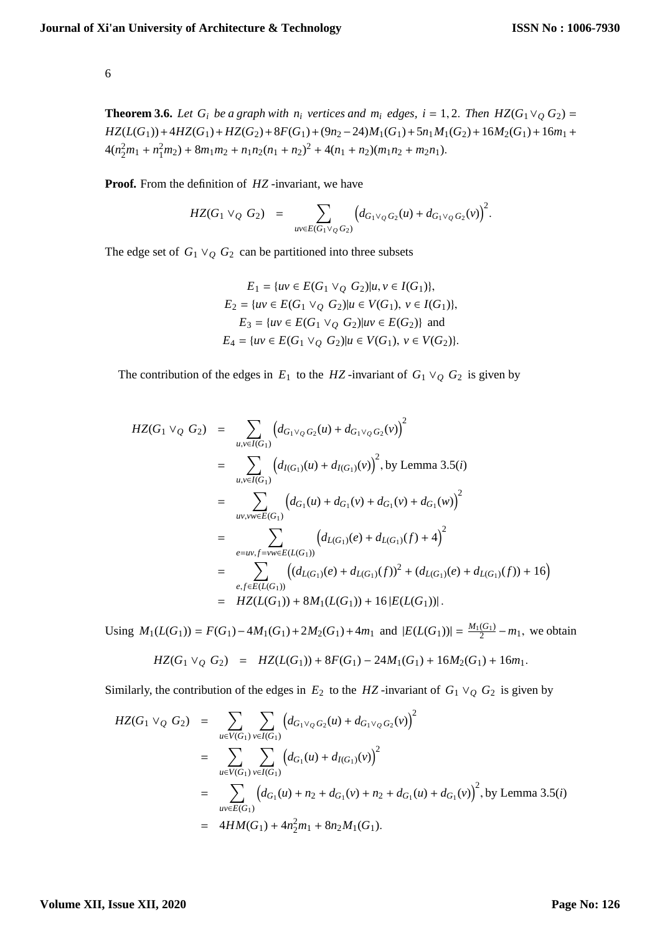**Theorem 3.6.** *Let*  $G_i$  *be a graph with n<sub>i</sub> vertices and m<sub>i</sub> edges, i* = 1, 2. *Then*  $HZ(G_1 \vee_O G_2)$  =  $HZ(L(G_1))$ +4 $HZ(G_1)$ + $HZ(G_2)$ +8 $F(G_1)$ +(9*n*<sub>2</sub> − 24) $M_1(G_1)$ +5*n*<sub>1</sub> $M_1(G_2)$ +16 $M_2(G_1)$ +16 $m_1$ +  $4(n_2^2m_1 + n_1^2m_2) + 8m_1m_2 + n_1n_2(n_1 + n_2)^2 + 4(n_1 + n_2)(m_1n_2 + m_2n_1).$ 

**Proof.** From the definition of *HZ* -invariant, we have

$$
HZ(G_1 \vee_Q G_2) = \sum_{uv \in E(G_1 \vee_Q G_2)} \Big( d_{G_1 \vee_Q G_2}(u) + d_{G_1 \vee_Q G_2}(v) \Big)^2.
$$

The edge set of  $G_1 \vee_Q G_2$  can be partitioned into three subsets

$$
E_1 = \{ uv \in E(G_1 \vee_Q G_2) | u, v \in I(G_1) \},
$$
  
\n
$$
E_2 = \{ uv \in E(G_1 \vee_Q G_2) | u \in V(G_1), v \in I(G_1) \},
$$
  
\n
$$
E_3 = \{ uv \in E(G_1 \vee_Q G_2) | uv \in E(G_2) \} \text{ and}
$$
  
\n
$$
E_4 = \{ uv \in E(G_1 \vee_Q G_2) | u \in V(G_1), v \in V(G_2) \}.
$$

The contribution of the edges in  $E_1$  to the *HZ* -invariant of  $G_1 \vee_Q G_2$  is given by

$$
HZ(G_1 \vee_Q G_2) = \sum_{u,v \in I(G_1)} (d_{G_1 \vee_Q G_2}(u) + d_{G_1 \vee_Q G_2}(v))^2
$$
  
\n
$$
= \sum_{u,v \in I(G_1)} (d_{I(G_1)}(u) + d_{I(G_1)}(v))^2, \text{ by Lemma 3.5(i)}
$$
  
\n
$$
= \sum_{uv,vw \in E(G_1)} (d_{G_1}(u) + d_{G_1}(v) + d_{G_1}(v) + d_{G_1}(w))^2
$$
  
\n
$$
= \sum_{ev,v \in E(G_1)} (d_{L(G_1)}(e) + d_{L(G_1)}(f) + 4)^2
$$
  
\n
$$
= \sum_{e,f \in E(L(G_1))} ((d_{L(G_1)}(e) + d_{L(G_1)}(f))^2 + (d_{L(G_1)}(e) + d_{L(G_1)}(f)) + 16)
$$
  
\n
$$
= HZ(L(G_1)) + 8M_1(L(G_1)) + 16 |E(L(G_1))|.
$$

Using  $M_1(L(G_1)) = F(G_1) - 4M_1(G_1) + 2M_2(G_1) + 4m_1$  and  $|E(L(G_1))| = \frac{M_1(G_1)}{2}$  $\frac{(G_1)}{2} - m_1$ , we obtain  $HZ(G_1 \vee_{\Omega} G_2) = HZ(I(G_1)) + 8F(G_1) - 24M_1(G_1) + 16M_2(G_1) + 16m$ 

$$
IL(G_1 \vee Q \cup Z) = IL(L(G_1)) + \delta \Gamma(G_1) - 24M[(G_1) + 10M2(G_1) + 10M].
$$

Similarly, the contribution of the edges in  $E_2$  to the *HZ* -invariant of  $G_1 \vee_Q G_2$  is given by

$$
HZ(G_1 \vee_Q G_2) = \sum_{u \in V(G_1)} \sum_{v \in I(G_1)} (d_{G_1 \vee_Q G_2}(u) + d_{G_1 \vee_Q G_2}(v))^2
$$
  
= 
$$
\sum_{u \in V(G_1)} \sum_{v \in I(G_1)} (d_{G_1}(u) + d_{I(G_1)}(v))^2
$$
  
= 
$$
\sum_{uv \in E(G_1)} (d_{G_1}(u) + n_2 + d_{G_1}(v) + n_2 + d_{G_1}(u) + d_{G_1}(v))^2
$$
, by Lemma 3.5(*i*)  
= 4HM(G<sub>1</sub>) + 4n<sub>2</sub><sup>2</sup>m<sub>1</sub> + 8n<sub>2</sub>M<sub>1</sub>(G<sub>1</sub>).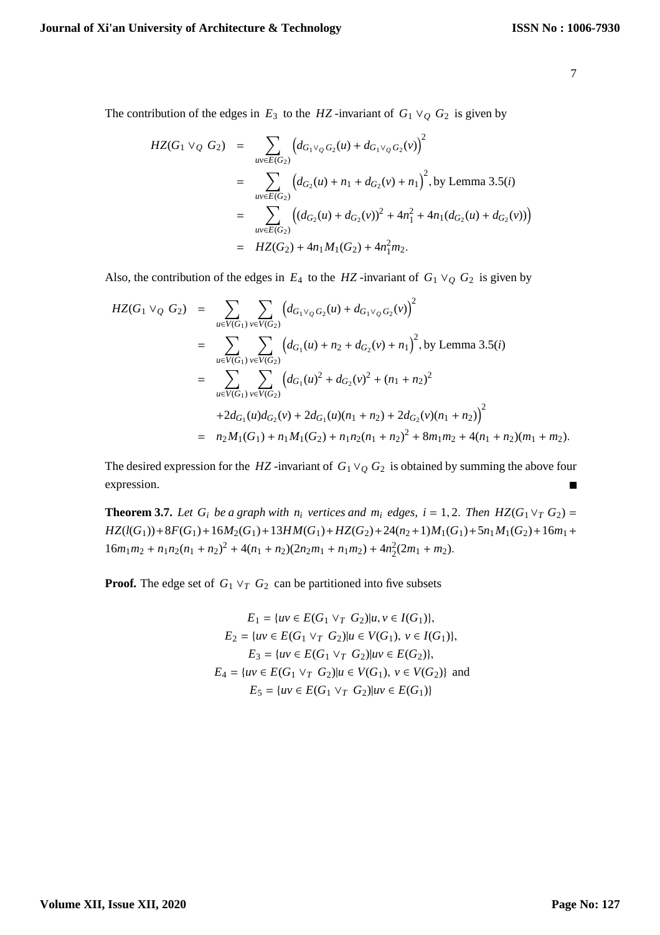The contribution of the edges in  $E_3$  to the *HZ* -invariant of  $G_1 \vee_Q G_2$  is given by

$$
HZ(G_1 \vee_Q G_2) = \sum_{uv \in E(G_2)} (d_{G_1 \vee_Q G_2}(u) + d_{G_1 \vee_Q G_2}(v))^2
$$
  
= 
$$
\sum_{uv \in E(G_2)} (d_{G_2}(u) + n_1 + d_{G_2}(v) + n_1)^2
$$
, by Lemma 3.5(*i*)  
= 
$$
\sum_{uv \in E(G_2)} ((d_{G_2}(u) + d_{G_2}(v))^2 + 4n_1^2 + 4n_1(d_{G_2}(u) + d_{G_2}(v)))
$$
  
= 
$$
HZ(G_2) + 4n_1M_1(G_2) + 4n_1^2m_2.
$$

Also, the contribution of the edges in  $E_4$  to the *HZ*-invariant of  $G_1 \vee_Q G_2$  is given by

$$
HZ(G_1 \vee_Q G_2) = \sum_{u \in V(G_1)} \sum_{v \in V(G_2)} \left( d_{G_1 \vee_Q G_2}(u) + d_{G_1 \vee_Q G_2}(v) \right)^2
$$
  
\n
$$
= \sum_{u \in V(G_1)} \sum_{v \in V(G_2)} \left( d_{G_1}(u) + n_2 + d_{G_2}(v) + n_1 \right)^2, \text{ by Lemma 3.5(i)}
$$
  
\n
$$
= \sum_{u \in V(G_1)} \sum_{v \in V(G_2)} \left( d_{G_1}(u)^2 + d_{G_2}(v)^2 + (n_1 + n_2)^2 + 2d_{G_1}(u)d_{G_2}(v) + 2d_{G_1}(u)(n_1 + n_2) + 2d_{G_2}(v)(n_1 + n_2) \right)^2
$$
  
\n
$$
= n_2M_1(G_1) + n_1M_1(G_2) + n_1n_2(n_1 + n_2)^2 + 8m_1m_2 + 4(n_1 + n_2)(m_1 + m_2).
$$

The desired expression for the *HZ* -invariant of  $G_1 \vee_{Q} G_2$  is obtained by summing the above four expression.

**Theorem 3.7.** *Let*  $G_i$  *be a graph with n<sub>i</sub> vertices and m<sub>i</sub> edges, i* = 1, 2. *Then*  $HZ(G_1 \vee_T G_2)$  =  $HZ(l(G_1)) + 8F(G_1) + 16M_2(G_1) + 13HM(G_1) + HZ(G_2) + 24(n_2+1)M_1(G_1) + 5n_1M_1(G_2) + 16m_1 +$  $16m_1m_2 + n_1n_2(n_1 + n_2)^2 + 4(n_1 + n_2)(2n_2m_1 + n_1m_2) + 4n_2^2(2m_1 + m_2).$ 

**Proof.** The edge set of  $G_1 \vee_T G_2$  can be partitioned into five subsets

$$
E_1 = \{ uv \in E(G_1 \vee_T G_2) | u, v \in I(G_1) \},
$$
  
\n
$$
E_2 = \{ uv \in E(G_1 \vee_T G_2) | u \in V(G_1), v \in I(G_1) \},
$$
  
\n
$$
E_3 = \{ uv \in E(G_1 \vee_T G_2) | uv \in E(G_2) \},
$$
  
\n
$$
E_4 = \{ uv \in E(G_1 \vee_T G_2) | u \in V(G_1), v \in V(G_2) \} \text{ and }
$$
  
\n
$$
E_5 = \{ uv \in E(G_1 \vee_T G_2) | uv \in E(G_1) \}
$$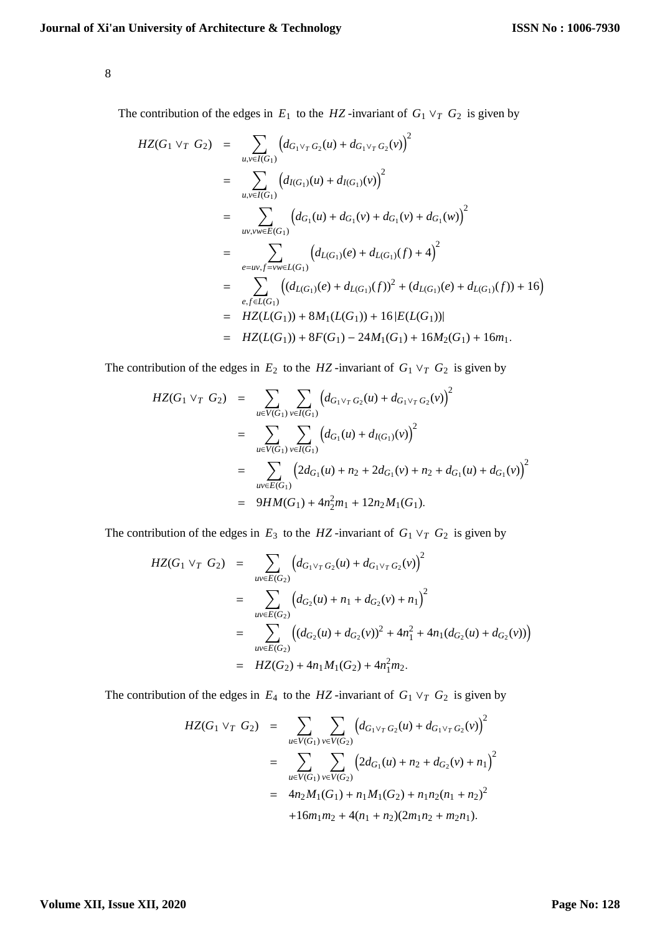The contribution of the edges in  $E_1$  to the *HZ* -invariant of  $G_1 \vee_T G_2$  is given by

$$
HZ(G_1 \vee_T G_2) = \sum_{u,v \in I(G_1)} (d_{G_1 \vee_T G_2}(u) + d_{G_1 \vee_T G_2}(v))^2
$$
  
\n
$$
= \sum_{u,v \in I(G_1)} (d_{I(G_1)}(u) + d_{I(G_1)}(v))^2
$$
  
\n
$$
= \sum_{u,v,w \in E(G_1)} (d_{G_1}(u) + d_{G_1}(v) + d_{G_1}(v) + d_{G_1}(w))^2
$$
  
\n
$$
= \sum_{e=uv,f=w \in L(G_1)} (d_{L(G_1)}(e) + d_{L(G_1)}(f) + 4)^2
$$
  
\n
$$
= \sum_{e,f \in L(G_1)} ((d_{L(G_1)}(e) + d_{L(G_1)}(f))^2 + (d_{L(G_1)}(e) + d_{L(G_1)}(f)) + 16)
$$
  
\n
$$
= HZ(L(G_1)) + 8M_1(L(G_1)) + 16|E(L(G_1))|
$$
  
\n
$$
= HZ(L(G_1)) + 8F(G_1) - 24M_1(G_1) + 16M_2(G_1) + 16m_1.
$$

The contribution of the edges in  $E_2$  to the *HZ* -invariant of  $G_1 \vee_T G_2$  is given by

$$
HZ(G_1 \vee_T G_2) = \sum_{u \in V(G_1)} \sum_{v \in I(G_1)} (d_{G_1 \vee_T G_2}(u) + d_{G_1 \vee_T G_2}(v))^2
$$
  
\n
$$
= \sum_{u \in V(G_1)} \sum_{v \in I(G_1)} (d_{G_1}(u) + d_{I(G_1)}(v))^2
$$
  
\n
$$
= \sum_{uv \in E(G_1)} (2d_{G_1}(u) + n_2 + 2d_{G_1}(v) + n_2 + d_{G_1}(u) + d_{G_1}(v))^2
$$
  
\n
$$
= 9HM(G_1) + 4n_2^2m_1 + 12n_2M_1(G_1).
$$

The contribution of the edges in  $E_3$  to the *HZ* -invariant of  $G_1 \vee_T G_2$  is given by

$$
HZ(G_1 \vee_T G_2) = \sum_{uv \in E(G_2)} (d_{G_1 \vee_T G_2}(u) + d_{G_1 \vee_T G_2}(v))^2
$$
  
= 
$$
\sum_{uv \in E(G_2)} (d_{G_2}(u) + n_1 + d_{G_2}(v) + n_1)^2
$$
  
= 
$$
\sum_{uv \in E(G_2)} ((d_{G_2}(u) + d_{G_2}(v))^2 + 4n_1^2 + 4n_1(d_{G_2}(u) + d_{G_2}(v)))
$$
  
= 
$$
HZ(G_2) + 4n_1M_1(G_2) + 4n_1^2m_2.
$$

The contribution of the edges in  $E_4$  to the *HZ* -invariant of  $G_1 \vee_T G_2$  is given by

$$
HZ(G_1 \vee_T G_2) = \sum_{u \in V(G_1)} \sum_{v \in V(G_2)} \left( d_{G_1 \vee_T G_2}(u) + d_{G_1 \vee_T G_2}(v) \right)^2
$$
  
= 
$$
\sum_{u \in V(G_1)} \sum_{v \in V(G_2)} \left( 2d_{G_1}(u) + n_2 + d_{G_2}(v) + n_1 \right)^2
$$
  
= 
$$
4n_2 M_1(G_1) + n_1 M_1(G_2) + n_1 n_2 (n_1 + n_2)^2
$$
  
+ 
$$
16m_1 m_2 + 4(n_1 + n_2)(2m_1 n_2 + m_2 n_1).
$$